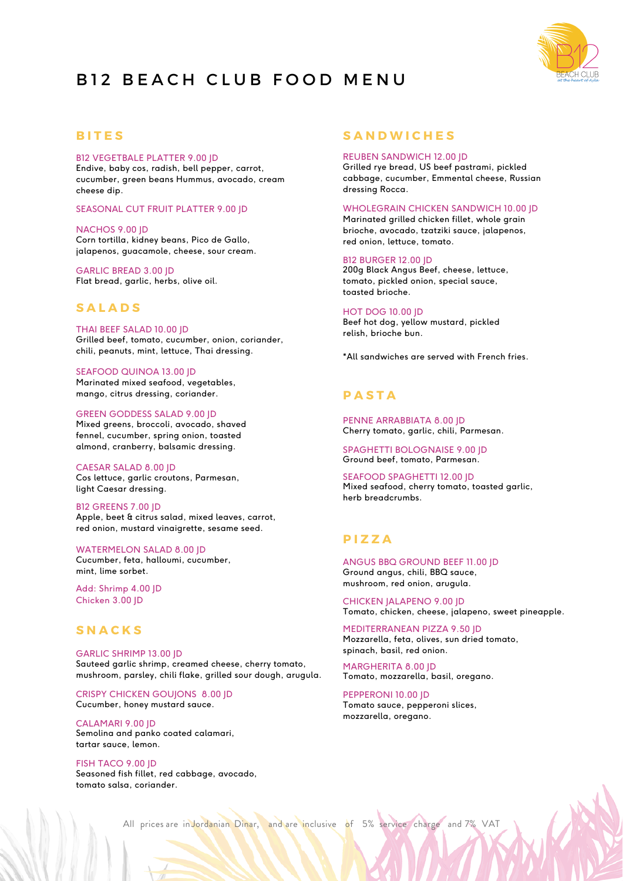

# B12 BEACH CLUB FOOD MENU

## **B I T E S**

B12 VEGETBALE PLATTER 9.00 JD

Endive, baby cos, radish, bell pepper, carrot, cucumber, green beans Hummus, avocado, cream cheese dip.

#### SEASONAL CUT FRUIT PLATTER 9.00 JD

NACHOS 9.00 JD Corn tortilla, kidney beans, Pico de Gallo, jalapenos, guacamole, cheese, sour cream.

GARLIC BREAD 3.00 JD Flat bread, garlic, herbs, olive oil.

### **S A L A D S**

THAI BEEF SALAD 10.00 JD Grilled beef, tomato, cucumber, onion, coriander, chili, peanuts, mint, lettuce, Thai dressing.

SEAFOOD QUINOA 13.00 JD Marinated mixed seafood, vegetables, mango, citrus dressing, coriander.

#### GREEN GODDESS SALAD 9.00 JD

Mixed greens, broccoli, avocado, shaved fennel, cucumber, spring onion, toasted almond, cranberry, balsamic dressing.

CAESAR SALAD 8.00 JD Cos lettuce, garlic croutons, Parmesan, light Caesar dressing.

B12 GREENS 7.00 JD Apple, beet & citrus salad, mixed leaves, carrot, red onion, mustard vinaigrette, sesame seed.

WATERMELON SALAD 8.00 JD Cucumber, feta, halloumi, cucumber, mint, lime sorbet.

Add: Shrimp 4.00 JD Chicken 3.00 JD

# **S N A C K S**

GARLIC SHRIMP 13.00 JD Sauteed garlic shrimp, creamed cheese, cherry tomato, mushroom, parsley, chili flake, grilled sour dough, arugula.

CRISPY CHICKEN GOUJONS 8.00 JD Cucumber, honey mustard sauce.

CALAMARI 9.00 JD Semolina and panko coated calamari, tartar sauce, lemon.

FISH TACO 9.00 JD Seasoned fish fillet, red cabbage, avocado, tomato salsa, coriander.

## **S A N D W I C H E S**

REUBEN SANDWICH 12.00 JD Grilled rye bread, US beef pastrami, pickled cabbage, cucumber, Emmental cheese, Russian dressing Rocca.

WHOLEGRAIN CHICKEN SANDWICH 10.00 JD Marinated grilled chicken fillet, whole grain

brioche, avocado, tzatziki sauce, jalapenos, red onion, lettuce, tomato.

#### B12 BURGER 12.00 JD

200g Black Angus Beef, cheese, lettuce, tomato, pickled onion, special sauce, toasted brioche.

HOT DOG 10.00 JD Beef hot dog, yellow mustard, pickled relish, brioche bun.

\*All sandwiches are served with French fries.

# **P A S T A**

PENNE ARRABBIATA 8.00 JD Cherry tomato, garlic, chili, Parmesan.

SPAGHETTI BOLOGNAISE 9.00 JD Ground beef, tomato, Parmesan.

SEAFOOD SPAGHETTI 12.00 JD Mixed seafood, cherry tomato, toasted garlic, herb breadcrumbs.

# **P I Z Z A**

ANGUS BBQ GROUND BEEF 11.00 JD Ground angus, chili, BBQ sauce, mushroom, red onion, arugula.

CHICKEN JALAPENO 9.00 JD Tomato, chicken, cheese, jalapeno, sweet pineapple.

MEDITERRANEAN PIZZA 9.50 JD Mozzarella, feta, olives, sun dried tomato, spinach, basil, red onion.

MARGHERITA 8.00 JD Tomato, mozzarella, basil, oregano.

PEPPERONI 10.00 JD Tomato sauce, pepperoni slices, mozzarella, oregano.

All prices are in Jordanian Dinar, and are inclusive of 5% service charge and 7% VAT